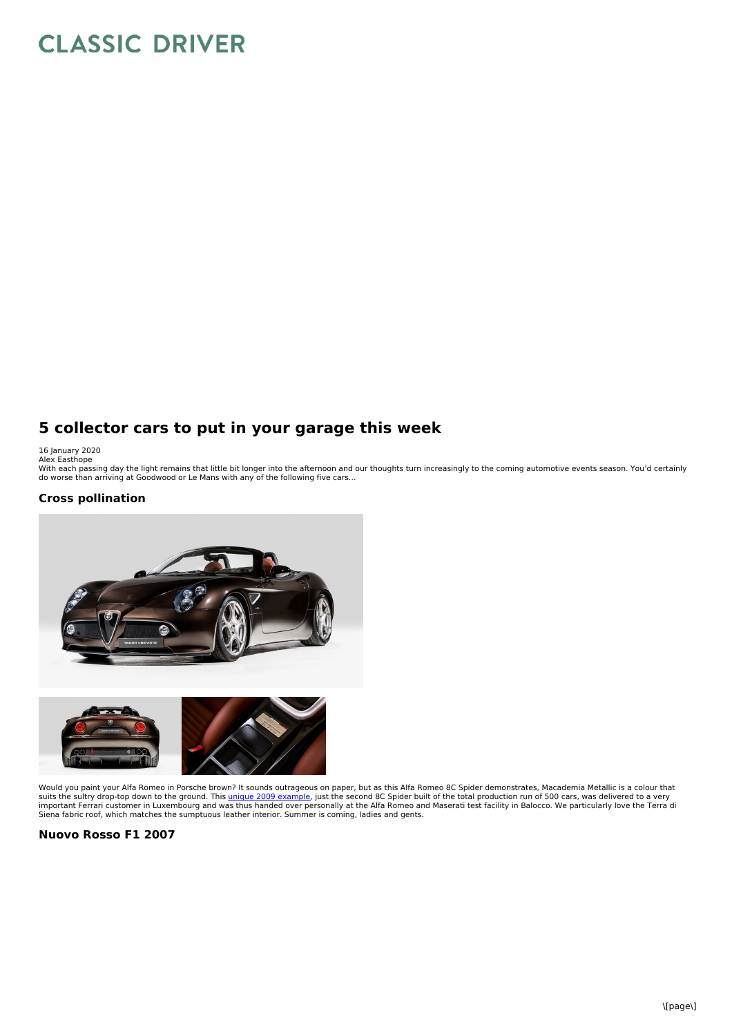# **CLASSIC DRIVER**

## **5 collector cars to put in your garage this week**

16 January 2020<br>Alex Easthope<br>With each passing day the light remains that little bit longer into the afternoon and our thoughts turn increasingly to the coming automotive events season. You'd certainly<br>With each passing d

#### **Cross pollination**





Would you paint your Alfa Romeo in Porsche brown? It sounds outrageous on paper, but as this Alfa Romeo 8C Spider demonstrates, Macademia Metallic is a colour that suits the sultry drop-top down to the ground. This <u>unique 2009 [example](https://www.classicdriver.com/en/car/alfa-romeo/8c/2009/727981)</u>, just the second 8C Spider built of the total production run of 500 cars, was delivered to a very<br>important Ferrari customer in Luxembourg and was th Siena fabric roof, which matches the sumptuous leather interior. Summer is coming, ladies and gents.

#### **Nuovo Rosso F1 2007**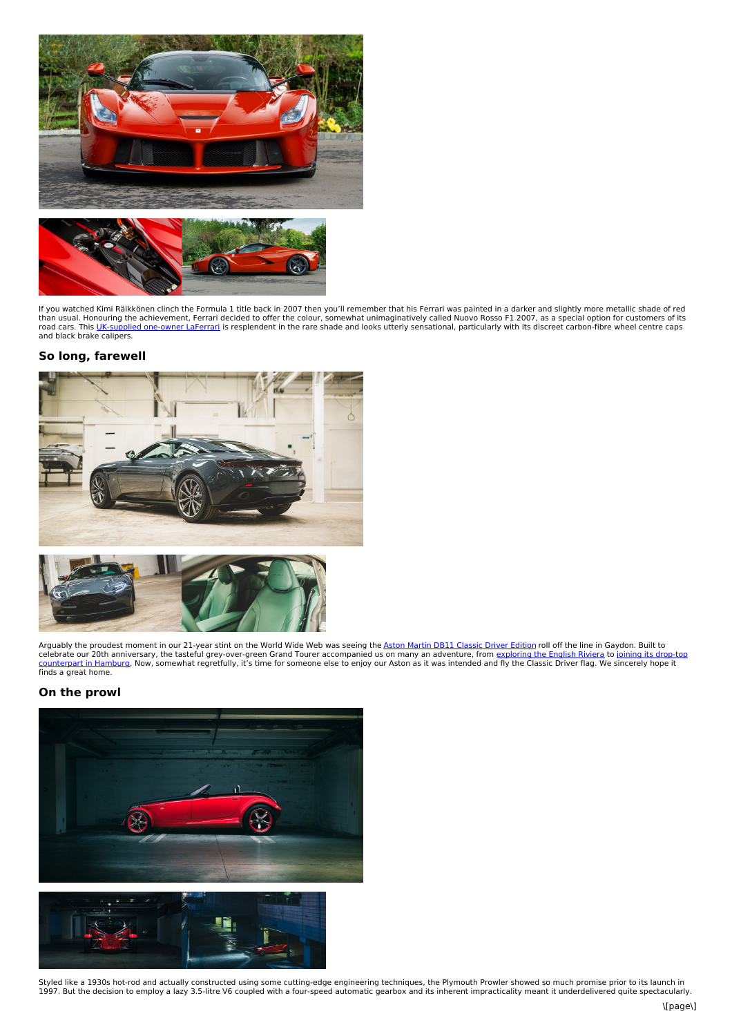

If you watched Kimi Räikkönen clinch the Formula 1 title back in 2007 then you'll remember that his Ferrari was painted in a darker and slightly more metallic shade of red<br>than usual. Honouring the achievement, Ferrari dec

#### **So long, farewell**





Arguably the proudest moment in our 21-year stint on the World Wide Web was seeing the <u>Aston Martin DB11 [Classic](https://www.classicdriver.com/en/car/aston-martin/db11/2018/728653) Driver Edition</u> roll off the line in Gaydon. Built to<br>celebrate our 20th anniversary, the tasteful grey-over

### **On the prowl**



Styled like a 1930s hot-rod and actually constructed using some cutting-edge engineering techniques, the Plymouth Prowler showed so much promise prior to its launch in<br>1997. But the decision to employ a lazy 3.5-litre V6 c